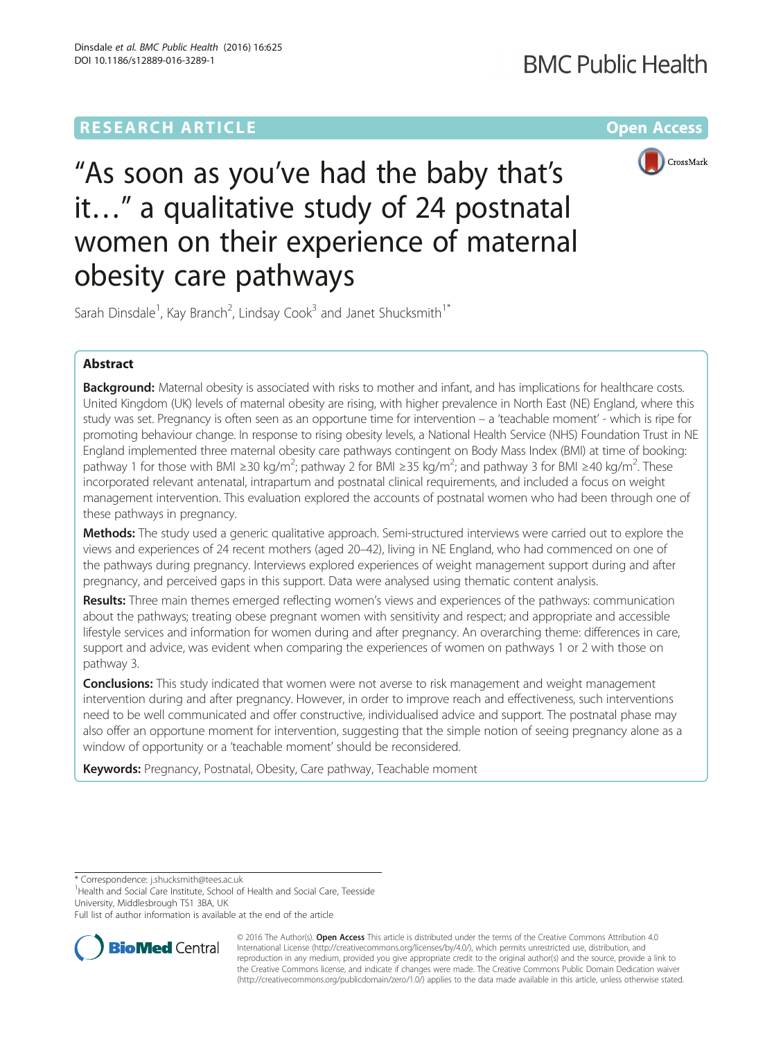# **RESEARCH ARTICLE Example 2014 12:30 The Community Community Community Community Community Community Community**



"As soon as you've had the baby that's it…" a qualitative study of 24 postnatal women on their experience of maternal obesity care pathways

Sarah Dinsdale<sup>1</sup>, Kay Branch<sup>2</sup>, Lindsay Cook<sup>3</sup> and Janet Shucksmith<sup>1\*</sup>

# Abstract

Background: Maternal obesity is associated with risks to mother and infant, and has implications for healthcare costs. United Kingdom (UK) levels of maternal obesity are rising, with higher prevalence in North East (NE) England, where this study was set. Pregnancy is often seen as an opportune time for intervention – a 'teachable moment' - which is ripe for promoting behaviour change. In response to rising obesity levels, a National Health Service (NHS) Foundation Trust in NE England implemented three maternal obesity care pathways contingent on Body Mass Index (BMI) at time of booking: pathway 1 for those with BMI ≥30 kg/m<sup>2</sup>; pathway 2 for BMI ≥35 kg/m<sup>2</sup>; and pathway 3 for BMI ≥40 kg/m<sup>2</sup>. These incorporated relevant antenatal, intrapartum and postnatal clinical requirements, and included a focus on weight management intervention. This evaluation explored the accounts of postnatal women who had been through one of these pathways in pregnancy.

Methods: The study used a generic qualitative approach. Semi-structured interviews were carried out to explore the views and experiences of 24 recent mothers (aged 20–42), living in NE England, who had commenced on one of the pathways during pregnancy. Interviews explored experiences of weight management support during and after pregnancy, and perceived gaps in this support. Data were analysed using thematic content analysis.

Results: Three main themes emerged reflecting women's views and experiences of the pathways: communication about the pathways; treating obese pregnant women with sensitivity and respect; and appropriate and accessible lifestyle services and information for women during and after pregnancy. An overarching theme: differences in care, support and advice, was evident when comparing the experiences of women on pathways 1 or 2 with those on pathway 3.

**Conclusions:** This study indicated that women were not averse to risk management and weight management intervention during and after pregnancy. However, in order to improve reach and effectiveness, such interventions need to be well communicated and offer constructive, individualised advice and support. The postnatal phase may also offer an opportune moment for intervention, suggesting that the simple notion of seeing pregnancy alone as a window of opportunity or a 'teachable moment' should be reconsidered.

Keywords: Pregnancy, Postnatal, Obesity, Care pathway, Teachable moment

\* Correspondence: [j.shucksmith@tees.ac.uk](mailto:j.shucksmith@tees.ac.uk) <sup>1</sup>

<sup>1</sup>Health and Social Care Institute, School of Health and Social Care, Teesside University, Middlesbrough TS1 3BA, UK

Full list of author information is available at the end of the article



© 2016 The Author(s). Open Access This article is distributed under the terms of the Creative Commons Attribution 4.0 International License [\(http://creativecommons.org/licenses/by/4.0/](http://creativecommons.org/licenses/by/4.0/)), which permits unrestricted use, distribution, and reproduction in any medium, provided you give appropriate credit to the original author(s) and the source, provide a link to the Creative Commons license, and indicate if changes were made. The Creative Commons Public Domain Dedication waiver [\(http://creativecommons.org/publicdomain/zero/1.0/](http://creativecommons.org/publicdomain/zero/1.0/)) applies to the data made available in this article, unless otherwise stated.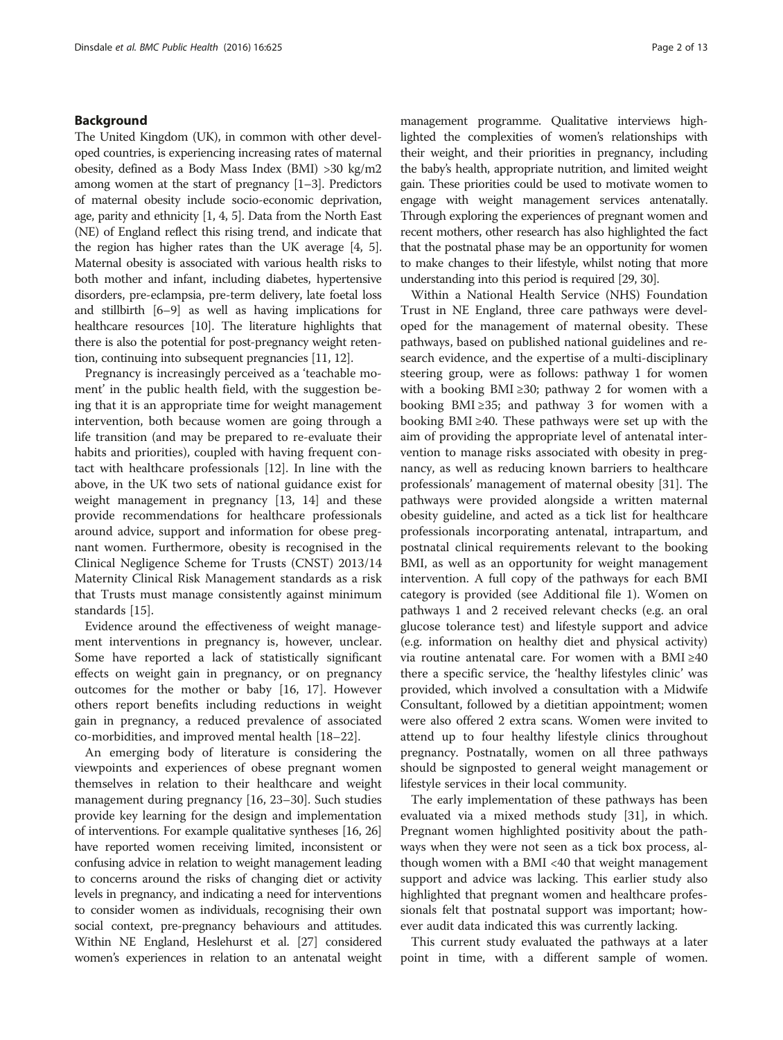# Background

The United Kingdom (UK), in common with other developed countries, is experiencing increasing rates of maternal obesity, defined as a Body Mass Index (BMI) >30 kg/m2 among women at the start of pregnancy [\[1](#page-10-0)–[3\]](#page-11-0). Predictors of maternal obesity include socio-economic deprivation, age, parity and ethnicity [\[1,](#page-10-0) [4](#page-11-0), [5\]](#page-11-0). Data from the North East (NE) of England reflect this rising trend, and indicate that the region has higher rates than the UK average [\[4, 5](#page-11-0)]. Maternal obesity is associated with various health risks to both mother and infant, including diabetes, hypertensive disorders, pre-eclampsia, pre-term delivery, late foetal loss and stillbirth [\[6](#page-11-0)–[9\]](#page-11-0) as well as having implications for healthcare resources [\[10\]](#page-11-0). The literature highlights that there is also the potential for post-pregnancy weight retention, continuing into subsequent pregnancies [\[11, 12\]](#page-11-0).

Pregnancy is increasingly perceived as a 'teachable moment' in the public health field, with the suggestion being that it is an appropriate time for weight management intervention, both because women are going through a life transition (and may be prepared to re-evaluate their habits and priorities), coupled with having frequent contact with healthcare professionals [\[12](#page-11-0)]. In line with the above, in the UK two sets of national guidance exist for weight management in pregnancy [\[13](#page-11-0), [14\]](#page-11-0) and these provide recommendations for healthcare professionals around advice, support and information for obese pregnant women. Furthermore, obesity is recognised in the Clinical Negligence Scheme for Trusts (CNST) 2013/14 Maternity Clinical Risk Management standards as a risk that Trusts must manage consistently against minimum standards [[15\]](#page-11-0).

Evidence around the effectiveness of weight management interventions in pregnancy is, however, unclear. Some have reported a lack of statistically significant effects on weight gain in pregnancy, or on pregnancy outcomes for the mother or baby [[16](#page-11-0), [17\]](#page-11-0). However others report benefits including reductions in weight gain in pregnancy, a reduced prevalence of associated co-morbidities, and improved mental health [\[18](#page-11-0)–[22](#page-11-0)].

An emerging body of literature is considering the viewpoints and experiences of obese pregnant women themselves in relation to their healthcare and weight management during pregnancy [\[16](#page-11-0), [23](#page-11-0)–[30\]](#page-11-0). Such studies provide key learning for the design and implementation of interventions. For example qualitative syntheses [\[16, 26](#page-11-0)] have reported women receiving limited, inconsistent or confusing advice in relation to weight management leading to concerns around the risks of changing diet or activity levels in pregnancy, and indicating a need for interventions to consider women as individuals, recognising their own social context, pre-pregnancy behaviours and attitudes. Within NE England, Heslehurst et al. [\[27\]](#page-11-0) considered women's experiences in relation to an antenatal weight

management programme. Qualitative interviews highlighted the complexities of women's relationships with their weight, and their priorities in pregnancy, including the baby's health, appropriate nutrition, and limited weight gain. These priorities could be used to motivate women to engage with weight management services antenatally. Through exploring the experiences of pregnant women and recent mothers, other research has also highlighted the fact that the postnatal phase may be an opportunity for women to make changes to their lifestyle, whilst noting that more understanding into this period is required [\[29, 30\]](#page-11-0).

Within a National Health Service (NHS) Foundation Trust in NE England, three care pathways were developed for the management of maternal obesity. These pathways, based on published national guidelines and research evidence, and the expertise of a multi-disciplinary steering group, were as follows: pathway 1 for women with a booking BMI ≥30; pathway 2 for women with a booking BMI ≥35; and pathway 3 for women with a booking BMI ≥40. These pathways were set up with the aim of providing the appropriate level of antenatal intervention to manage risks associated with obesity in pregnancy, as well as reducing known barriers to healthcare professionals' management of maternal obesity [\[31\]](#page-11-0). The pathways were provided alongside a written maternal obesity guideline, and acted as a tick list for healthcare professionals incorporating antenatal, intrapartum, and postnatal clinical requirements relevant to the booking BMI, as well as an opportunity for weight management intervention. A full copy of the pathways for each BMI category is provided (see Additional file [1\)](#page-10-0). Women on pathways 1 and 2 received relevant checks (e.g. an oral glucose tolerance test) and lifestyle support and advice (e.g. information on healthy diet and physical activity) via routine antenatal care. For women with a BMI ≥40 there a specific service, the 'healthy lifestyles clinic' was provided, which involved a consultation with a Midwife Consultant, followed by a dietitian appointment; women were also offered 2 extra scans. Women were invited to attend up to four healthy lifestyle clinics throughout pregnancy. Postnatally, women on all three pathways should be signposted to general weight management or lifestyle services in their local community.

The early implementation of these pathways has been evaluated via a mixed methods study [[31\]](#page-11-0), in which. Pregnant women highlighted positivity about the pathways when they were not seen as a tick box process, although women with a BMI <40 that weight management support and advice was lacking. This earlier study also highlighted that pregnant women and healthcare professionals felt that postnatal support was important; however audit data indicated this was currently lacking.

This current study evaluated the pathways at a later point in time, with a different sample of women.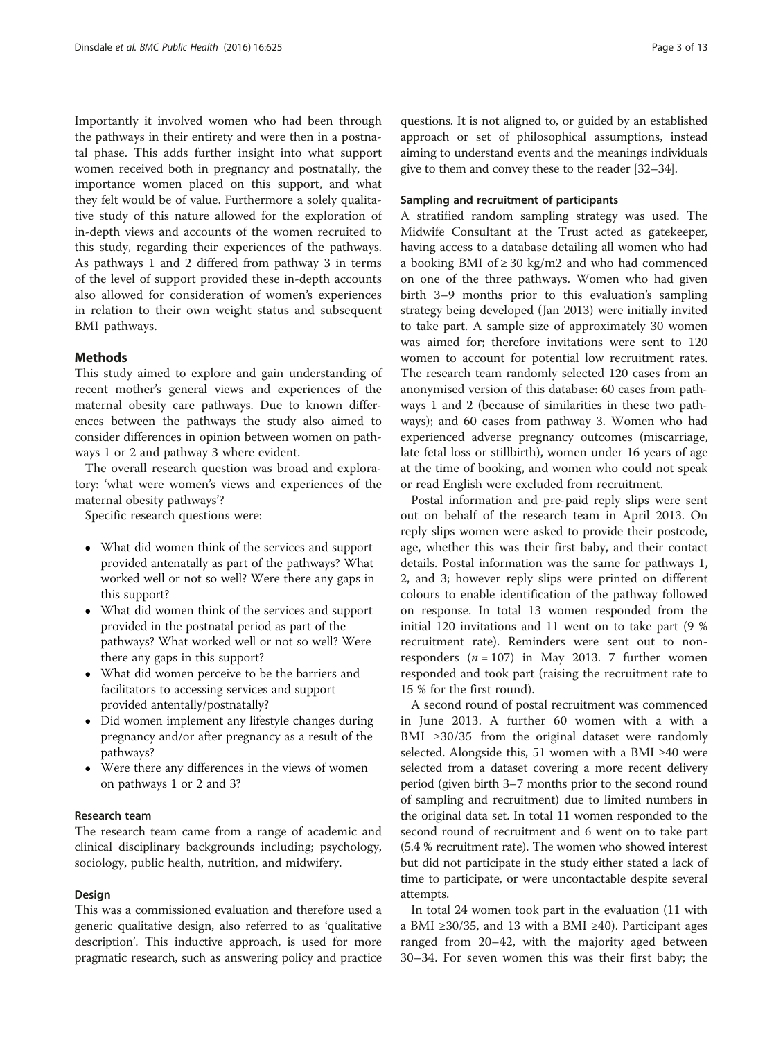Importantly it involved women who had been through the pathways in their entirety and were then in a postnatal phase. This adds further insight into what support women received both in pregnancy and postnatally, the importance women placed on this support, and what they felt would be of value. Furthermore a solely qualitative study of this nature allowed for the exploration of in-depth views and accounts of the women recruited to this study, regarding their experiences of the pathways. As pathways 1 and 2 differed from pathway 3 in terms of the level of support provided these in-depth accounts also allowed for consideration of women's experiences in relation to their own weight status and subsequent BMI pathways.

# Methods

This study aimed to explore and gain understanding of recent mother's general views and experiences of the maternal obesity care pathways. Due to known differences between the pathways the study also aimed to consider differences in opinion between women on pathways 1 or 2 and pathway 3 where evident.

The overall research question was broad and exploratory: 'what were women's views and experiences of the maternal obesity pathways'?

Specific research questions were:

- What did women think of the services and support provided antenatally as part of the pathways? What worked well or not so well? Were there any gaps in this support?
- What did women think of the services and support provided in the postnatal period as part of the pathways? What worked well or not so well? Were there any gaps in this support?
- What did women perceive to be the barriers and facilitators to accessing services and support provided antentally/postnatally?
- Did women implement any lifestyle changes during pregnancy and/or after pregnancy as a result of the pathways?
- Were there any differences in the views of women on pathways 1 or 2 and 3?

# Research team

The research team came from a range of academic and clinical disciplinary backgrounds including; psychology, sociology, public health, nutrition, and midwifery.

# Design

This was a commissioned evaluation and therefore used a generic qualitative design, also referred to as 'qualitative description'. This inductive approach, is used for more pragmatic research, such as answering policy and practice

questions. It is not aligned to, or guided by an established approach or set of philosophical assumptions, instead aiming to understand events and the meanings individuals give to them and convey these to the reader [\[32](#page-11-0)–[34](#page-11-0)].

### Sampling and recruitment of participants

A stratified random sampling strategy was used. The Midwife Consultant at the Trust acted as gatekeeper, having access to a database detailing all women who had a booking BMI of  $\geq$  30 kg/m2 and who had commenced on one of the three pathways. Women who had given birth 3–9 months prior to this evaluation's sampling strategy being developed (Jan 2013) were initially invited to take part. A sample size of approximately 30 women was aimed for; therefore invitations were sent to 120 women to account for potential low recruitment rates. The research team randomly selected 120 cases from an anonymised version of this database: 60 cases from pathways 1 and 2 (because of similarities in these two pathways); and 60 cases from pathway 3. Women who had experienced adverse pregnancy outcomes (miscarriage, late fetal loss or stillbirth), women under 16 years of age at the time of booking, and women who could not speak or read English were excluded from recruitment.

Postal information and pre-paid reply slips were sent out on behalf of the research team in April 2013. On reply slips women were asked to provide their postcode, age, whether this was their first baby, and their contact details. Postal information was the same for pathways 1, 2, and 3; however reply slips were printed on different colours to enable identification of the pathway followed on response. In total 13 women responded from the initial 120 invitations and 11 went on to take part (9 % recruitment rate). Reminders were sent out to nonresponders  $(n = 107)$  in May 2013. 7 further women responded and took part (raising the recruitment rate to 15 % for the first round).

A second round of postal recruitment was commenced in June 2013. A further 60 women with a with a BMI  $\geq$ 30/35 from the original dataset were randomly selected. Alongside this, 51 women with a BMI ≥40 were selected from a dataset covering a more recent delivery period (given birth 3–7 months prior to the second round of sampling and recruitment) due to limited numbers in the original data set. In total 11 women responded to the second round of recruitment and 6 went on to take part (5.4 % recruitment rate). The women who showed interest but did not participate in the study either stated a lack of time to participate, or were uncontactable despite several attempts.

In total 24 women took part in the evaluation (11 with a BMI ≥30/35, and 13 with a BMI ≥40). Participant ages ranged from 20–42, with the majority aged between 30–34. For seven women this was their first baby; the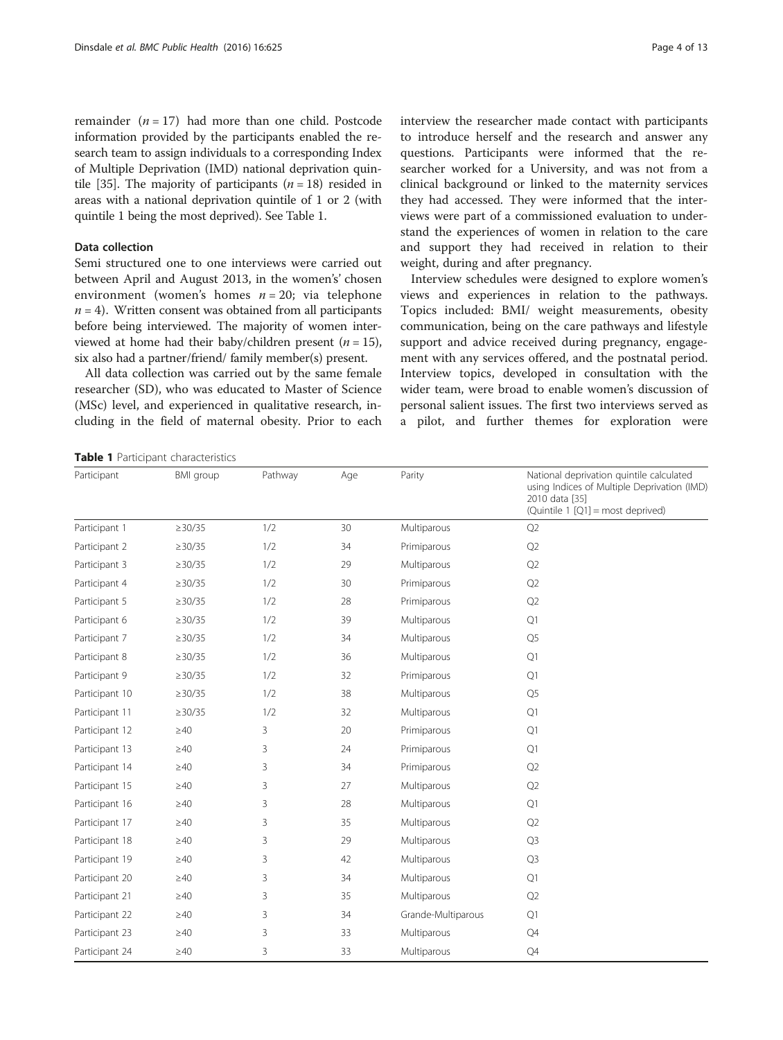remainder  $(n = 17)$  had more than one child. Postcode information provided by the participants enabled the research team to assign individuals to a corresponding Index of Multiple Deprivation (IMD) national deprivation quin-tile [\[35\]](#page-11-0). The majority of participants  $(n = 18)$  resided in areas with a national deprivation quintile of 1 or 2 (with quintile 1 being the most deprived). See Table 1.

# Data collection

Semi structured one to one interviews were carried out between April and August 2013, in the women's' chosen environment (women's homes  $n = 20$ ; via telephone  $n = 4$ ). Written consent was obtained from all participants before being interviewed. The majority of women interviewed at home had their baby/children present ( $n = 15$ ), six also had a partner/friend/ family member(s) present.

All data collection was carried out by the same female researcher (SD), who was educated to Master of Science (MSc) level, and experienced in qualitative research, including in the field of maternal obesity. Prior to each interview the researcher made contact with participants to introduce herself and the research and answer any questions. Participants were informed that the researcher worked for a University, and was not from a clinical background or linked to the maternity services they had accessed. They were informed that the interviews were part of a commissioned evaluation to understand the experiences of women in relation to the care and support they had received in relation to their weight, during and after pregnancy.

Interview schedules were designed to explore women's views and experiences in relation to the pathways. Topics included: BMI/ weight measurements, obesity communication, being on the care pathways and lifestyle support and advice received during pregnancy, engagement with any services offered, and the postnatal period. Interview topics, developed in consultation with the wider team, were broad to enable women's discussion of personal salient issues. The first two interviews served as a pilot, and further themes for exploration were

Table 1 Participant characteristics

| Participant    | <b>BMI</b> group | Pathway | Age | Parity             | National deprivation quintile calculated<br>using Indices of Multiple Deprivation (IMD)<br>2010 data [35]<br>(Quintile 1 [Q1] = most deprived) |
|----------------|------------------|---------|-----|--------------------|------------------------------------------------------------------------------------------------------------------------------------------------|
| Participant 1  | $\geq$ 30/35     | 1/2     | 30  | Multiparous        | Q2                                                                                                                                             |
| Participant 2  | $\geq$ 30/35     | 1/2     | 34  | Primiparous        | Q2                                                                                                                                             |
| Participant 3  | $\geq$ 30/35     | 1/2     | 29  | Multiparous        | Q2                                                                                                                                             |
| Participant 4  | $\geq$ 30/35     | 1/2     | 30  | Primiparous        | Q2                                                                                                                                             |
| Participant 5  | $\geq$ 30/35     | 1/2     | 28  | Primiparous        | Q2                                                                                                                                             |
| Participant 6  | $\geq$ 30/35     | 1/2     | 39  | Multiparous        | Q1                                                                                                                                             |
| Participant 7  | $\geq$ 30/35     | 1/2     | 34  | Multiparous        | Q <sub>5</sub>                                                                                                                                 |
| Participant 8  | $\geq$ 30/35     | 1/2     | 36  | Multiparous        | Q1                                                                                                                                             |
| Participant 9  | $\geq$ 30/35     | 1/2     | 32  | Primiparous        | Q1                                                                                                                                             |
| Participant 10 | $\geq$ 30/35     | 1/2     | 38  | Multiparous        | Q <sub>5</sub>                                                                                                                                 |
| Participant 11 | $\geq$ 30/35     | 1/2     | 32  | Multiparous        | Q1                                                                                                                                             |
| Participant 12 | $\geq$ 40        | 3       | 20  | Primiparous        | Q1                                                                                                                                             |
| Participant 13 | $\geq 40$        | 3       | 24  | Primiparous        | Q1                                                                                                                                             |
| Participant 14 | $\geq$ 40        | 3       | 34  | Primiparous        | Q2                                                                                                                                             |
| Participant 15 | $\geq 40$        | 3       | 27  | Multiparous        | Q2                                                                                                                                             |
| Participant 16 | $\geq$ 40        | 3       | 28  | Multiparous        | Q1                                                                                                                                             |
| Participant 17 | $\geq 40$        | 3       | 35  | Multiparous        | Q <sub>2</sub>                                                                                                                                 |
| Participant 18 | $\geq 40$        | 3       | 29  | Multiparous        | Q <sub>3</sub>                                                                                                                                 |
| Participant 19 | $\geq 40$        | 3       | 42  | Multiparous        | Q3                                                                                                                                             |
| Participant 20 | $\geq 40$        | 3       | 34  | Multiparous        | Q1                                                                                                                                             |
| Participant 21 | $\geq 40$        | 3       | 35  | Multiparous        | Q2                                                                                                                                             |
| Participant 22 | $\geq 40$        | 3       | 34  | Grande-Multiparous | Q1                                                                                                                                             |
| Participant 23 | $\geq$ 40        | 3       | 33  | Multiparous        | $\mathbb{Q}4$                                                                                                                                  |
| Participant 24 | $\geq 40$        | 3       | 33  | Multiparous        | $\mathbb{Q}4$                                                                                                                                  |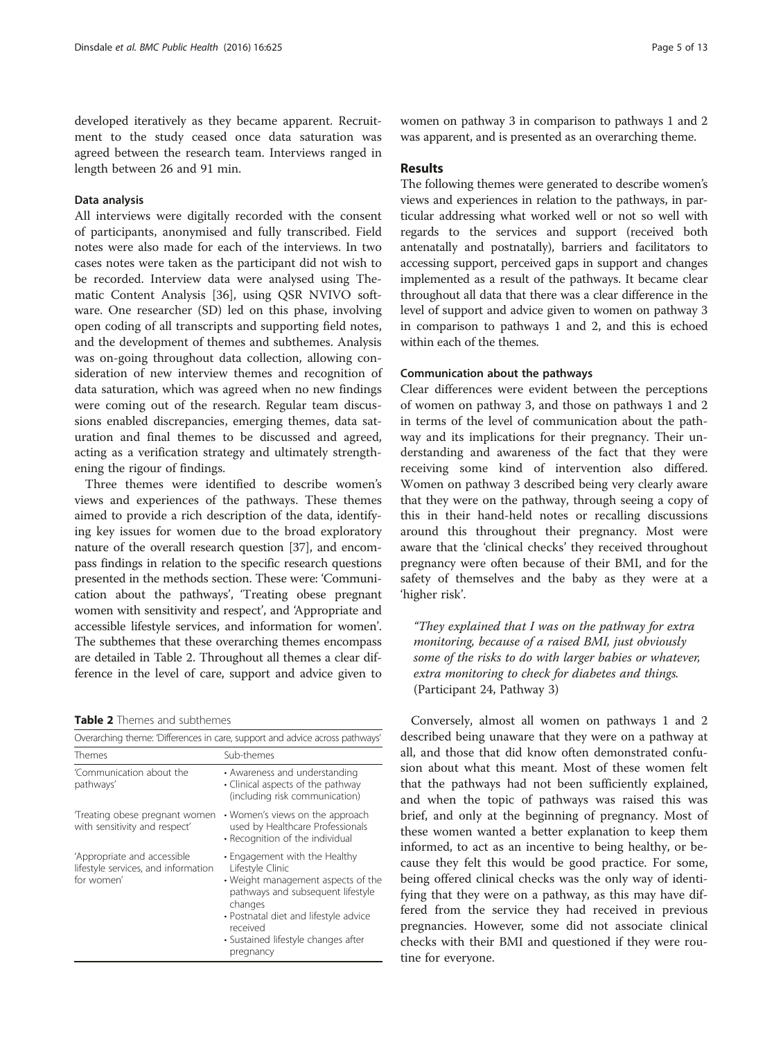developed iteratively as they became apparent. Recruitment to the study ceased once data saturation was agreed between the research team. Interviews ranged in length between 26 and 91 min.

### Data analysis

All interviews were digitally recorded with the consent of participants, anonymised and fully transcribed. Field notes were also made for each of the interviews. In two cases notes were taken as the participant did not wish to be recorded. Interview data were analysed using Thematic Content Analysis [[36](#page-11-0)], using QSR NVIVO software. One researcher (SD) led on this phase, involving open coding of all transcripts and supporting field notes, and the development of themes and subthemes. Analysis was on-going throughout data collection, allowing consideration of new interview themes and recognition of data saturation, which was agreed when no new findings were coming out of the research. Regular team discussions enabled discrepancies, emerging themes, data saturation and final themes to be discussed and agreed, acting as a verification strategy and ultimately strengthening the rigour of findings.

Three themes were identified to describe women's views and experiences of the pathways. These themes aimed to provide a rich description of the data, identifying key issues for women due to the broad exploratory nature of the overall research question [[37](#page-11-0)], and encompass findings in relation to the specific research questions presented in the methods section. These were: 'Communication about the pathways', 'Treating obese pregnant women with sensitivity and respect', and 'Appropriate and accessible lifestyle services, and information for women'. The subthemes that these overarching themes encompass are detailed in Table 2. Throughout all themes a clear difference in the level of care, support and advice given to

### Table 2 Themes and subthemes

| Overarching theme: 'Differences in care, support and advice across pathways'     |                                                                                                                                                                                                                                                  |  |  |  |
|----------------------------------------------------------------------------------|--------------------------------------------------------------------------------------------------------------------------------------------------------------------------------------------------------------------------------------------------|--|--|--|
| Themes                                                                           | Sub-themes                                                                                                                                                                                                                                       |  |  |  |
| 'Communication about the<br>pathways'                                            | • Awareness and understanding<br>• Clinical aspects of the pathway<br>(including risk communication)                                                                                                                                             |  |  |  |
| Treating obese pregnant women<br>with sensitivity and respect'                   | • Women's views on the approach<br>used by Healthcare Professionals<br>• Recognition of the individual                                                                                                                                           |  |  |  |
| 'Appropriate and accessible<br>lifestyle services, and information<br>for women' | • Engagement with the Healthy<br>Lifestyle Clinic<br>• Weight management aspects of the<br>pathways and subsequent lifestyle<br>changes<br>• Postnatal diet and lifestyle advice<br>received<br>· Sustained lifestyle changes after<br>pregnancy |  |  |  |

women on pathway 3 in comparison to pathways 1 and 2 was apparent, and is presented as an overarching theme.

## Results

The following themes were generated to describe women's views and experiences in relation to the pathways, in particular addressing what worked well or not so well with regards to the services and support (received both antenatally and postnatally), barriers and facilitators to accessing support, perceived gaps in support and changes implemented as a result of the pathways. It became clear throughout all data that there was a clear difference in the level of support and advice given to women on pathway 3 in comparison to pathways 1 and 2, and this is echoed within each of the themes.

### Communication about the pathways

Clear differences were evident between the perceptions of women on pathway 3, and those on pathways 1 and 2 in terms of the level of communication about the pathway and its implications for their pregnancy. Their understanding and awareness of the fact that they were receiving some kind of intervention also differed. Women on pathway 3 described being very clearly aware that they were on the pathway, through seeing a copy of this in their hand-held notes or recalling discussions around this throughout their pregnancy. Most were aware that the 'clinical checks' they received throughout pregnancy were often because of their BMI, and for the safety of themselves and the baby as they were at a 'higher risk'.

"They explained that I was on the pathway for extra monitoring, because of a raised BMI, just obviously some of the risks to do with larger babies or whatever, extra monitoring to check for diabetes and things. (Participant 24, Pathway 3)

Conversely, almost all women on pathways 1 and 2 described being unaware that they were on a pathway at all, and those that did know often demonstrated confusion about what this meant. Most of these women felt that the pathways had not been sufficiently explained, and when the topic of pathways was raised this was brief, and only at the beginning of pregnancy. Most of these women wanted a better explanation to keep them informed, to act as an incentive to being healthy, or because they felt this would be good practice. For some, being offered clinical checks was the only way of identifying that they were on a pathway, as this may have differed from the service they had received in previous pregnancies. However, some did not associate clinical checks with their BMI and questioned if they were routine for everyone.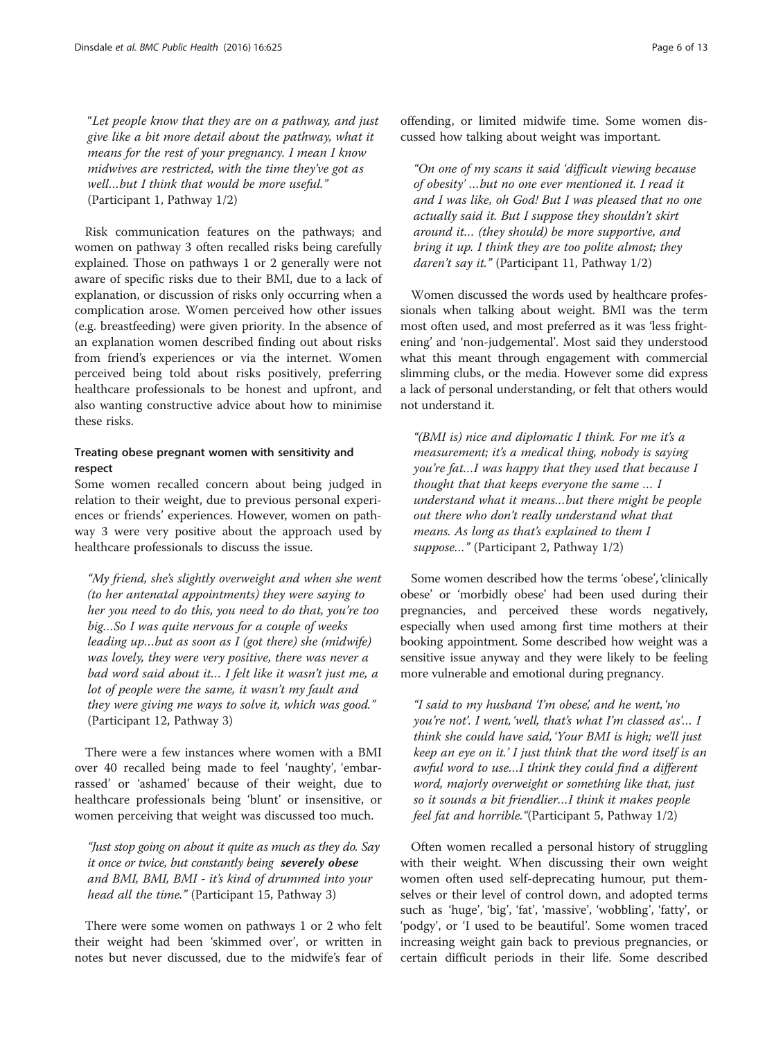"Let people know that they are on a pathway, and just give like a bit more detail about the pathway, what it means for the rest of your pregnancy. I mean I know midwives are restricted, with the time they've got as well…but I think that would be more useful." (Participant 1, Pathway 1/2)

Risk communication features on the pathways; and women on pathway 3 often recalled risks being carefully explained. Those on pathways 1 or 2 generally were not aware of specific risks due to their BMI, due to a lack of explanation, or discussion of risks only occurring when a complication arose. Women perceived how other issues (e.g. breastfeeding) were given priority. In the absence of an explanation women described finding out about risks from friend's experiences or via the internet. Women perceived being told about risks positively, preferring healthcare professionals to be honest and upfront, and also wanting constructive advice about how to minimise these risks.

# Treating obese pregnant women with sensitivity and respect

Some women recalled concern about being judged in relation to their weight, due to previous personal experiences or friends' experiences. However, women on pathway 3 were very positive about the approach used by healthcare professionals to discuss the issue.

"My friend, she's slightly overweight and when she went (to her antenatal appointments) they were saying to her you need to do this, you need to do that, you're too big…So I was quite nervous for a couple of weeks leading up…but as soon as I (got there) she (midwife) was lovely, they were very positive, there was never a bad word said about it… I felt like it wasn't just me, a lot of people were the same, it wasn't my fault and they were giving me ways to solve it, which was good." (Participant 12, Pathway 3)

There were a few instances where women with a BMI over 40 recalled being made to feel 'naughty', 'embarrassed' or 'ashamed' because of their weight, due to healthcare professionals being 'blunt' or insensitive, or women perceiving that weight was discussed too much.

"Just stop going on about it quite as much as they do. Say it once or twice, but constantly being severely obese and BMI, BMI, BMI - it's kind of drummed into your head all the time." (Participant 15, Pathway 3)

There were some women on pathways 1 or 2 who felt their weight had been 'skimmed over', or written in notes but never discussed, due to the midwife's fear of

offending, or limited midwife time. Some women discussed how talking about weight was important.

"On one of my scans it said 'difficult viewing because of obesity' …but no one ever mentioned it. I read it and I was like, oh God! But I was pleased that no one actually said it. But I suppose they shouldn't skirt around it… (they should) be more supportive, and bring it up. I think they are too polite almost; they daren't say it." (Participant 11, Pathway 1/2)

Women discussed the words used by healthcare professionals when talking about weight. BMI was the term most often used, and most preferred as it was 'less frightening' and 'non-judgemental'. Most said they understood what this meant through engagement with commercial slimming clubs, or the media. However some did express a lack of personal understanding, or felt that others would not understand it.

"(BMI is) nice and diplomatic I think. For me it's a measurement; it's a medical thing, nobody is saying you're fat…I was happy that they used that because I thought that that keeps everyone the same … I understand what it means…but there might be people out there who don't really understand what that means. As long as that's explained to them I suppose..." (Participant 2, Pathway 1/2)

Some women described how the terms 'obese', 'clinically obese' or 'morbidly obese' had been used during their pregnancies, and perceived these words negatively, especially when used among first time mothers at their booking appointment. Some described how weight was a sensitive issue anyway and they were likely to be feeling more vulnerable and emotional during pregnancy.

"I said to my husband 'I'm obese', and he went, 'no you're not'. I went, 'well, that's what I'm classed as'… I think she could have said, 'Your BMI is high; we'll just keep an eye on it.' I just think that the word itself is an awful word to use…I think they could find a different word, majorly overweight or something like that, just so it sounds a bit friendlier…I think it makes people feel fat and horrible."(Participant 5, Pathway 1/2)

Often women recalled a personal history of struggling with their weight. When discussing their own weight women often used self-deprecating humour, put themselves or their level of control down, and adopted terms such as 'huge', 'big', 'fat', 'massive', 'wobbling', 'fatty', or 'podgy', or 'I used to be beautiful'. Some women traced increasing weight gain back to previous pregnancies, or certain difficult periods in their life. Some described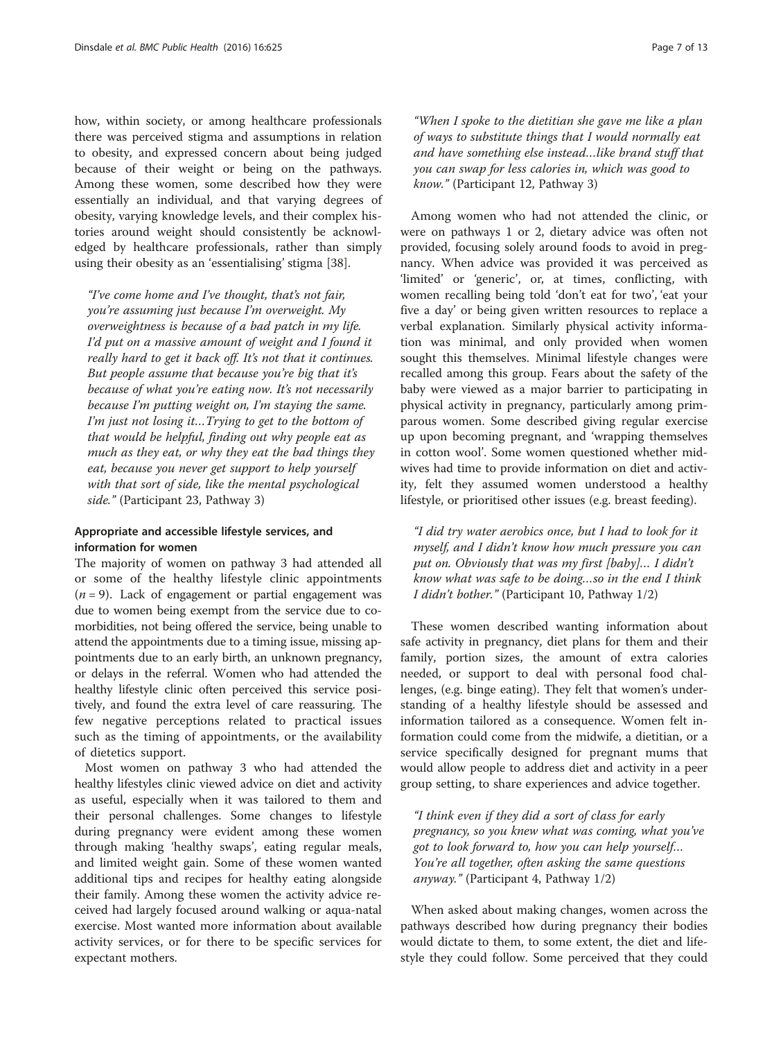how, within society, or among healthcare professionals there was perceived stigma and assumptions in relation to obesity, and expressed concern about being judged because of their weight or being on the pathways. Among these women, some described how they were essentially an individual, and that varying degrees of obesity, varying knowledge levels, and their complex histories around weight should consistently be acknowledged by healthcare professionals, rather than simply using their obesity as an 'essentialising' stigma [[38\]](#page-11-0).

"I've come home and I've thought, that's not fair, you're assuming just because I'm overweight. My overweightness is because of a bad patch in my life. I'd put on a massive amount of weight and I found it really hard to get it back off. It's not that it continues. But people assume that because you're big that it's because of what you're eating now. It's not necessarily because I'm putting weight on, I'm staying the same. I'm just not losing it…Trying to get to the bottom of that would be helpful, finding out why people eat as much as they eat, or why they eat the bad things they eat, because you never get support to help yourself with that sort of side, like the mental psychological side." (Participant 23, Pathway 3)

# Appropriate and accessible lifestyle services, and information for women

The majority of women on pathway 3 had attended all or some of the healthy lifestyle clinic appointments  $(n = 9)$ . Lack of engagement or partial engagement was due to women being exempt from the service due to comorbidities, not being offered the service, being unable to attend the appointments due to a timing issue, missing appointments due to an early birth, an unknown pregnancy, or delays in the referral. Women who had attended the healthy lifestyle clinic often perceived this service positively, and found the extra level of care reassuring. The few negative perceptions related to practical issues such as the timing of appointments, or the availability of dietetics support.

Most women on pathway 3 who had attended the healthy lifestyles clinic viewed advice on diet and activity as useful, especially when it was tailored to them and their personal challenges. Some changes to lifestyle during pregnancy were evident among these women through making 'healthy swaps', eating regular meals, and limited weight gain. Some of these women wanted additional tips and recipes for healthy eating alongside their family. Among these women the activity advice received had largely focused around walking or aqua-natal exercise. Most wanted more information about available activity services, or for there to be specific services for expectant mothers.

"When I spoke to the dietitian she gave me like a plan of ways to substitute things that I would normally eat and have something else instead…like brand stuff that you can swap for less calories in, which was good to know." (Participant 12, Pathway 3)

Among women who had not attended the clinic, or were on pathways 1 or 2, dietary advice was often not provided, focusing solely around foods to avoid in pregnancy. When advice was provided it was perceived as 'limited' or 'generic', or, at times, conflicting, with women recalling being told 'don't eat for two', 'eat your five a day' or being given written resources to replace a verbal explanation. Similarly physical activity information was minimal, and only provided when women sought this themselves. Minimal lifestyle changes were recalled among this group. Fears about the safety of the baby were viewed as a major barrier to participating in physical activity in pregnancy, particularly among primparous women. Some described giving regular exercise up upon becoming pregnant, and 'wrapping themselves in cotton wool'. Some women questioned whether midwives had time to provide information on diet and activity, felt they assumed women understood a healthy lifestyle, or prioritised other issues (e.g. breast feeding).

"I did try water aerobics once, but I had to look for it myself, and I didn't know how much pressure you can put on. Obviously that was my first [baby]… I didn't know what was safe to be doing…so in the end I think I didn't bother." (Participant 10, Pathway 1/2)

These women described wanting information about safe activity in pregnancy, diet plans for them and their family, portion sizes, the amount of extra calories needed, or support to deal with personal food challenges, (e.g. binge eating). They felt that women's understanding of a healthy lifestyle should be assessed and information tailored as a consequence. Women felt information could come from the midwife, a dietitian, or a service specifically designed for pregnant mums that would allow people to address diet and activity in a peer group setting, to share experiences and advice together.

"I think even if they did a sort of class for early pregnancy, so you knew what was coming, what you've got to look forward to, how you can help yourself… You're all together, often asking the same questions anyway." (Participant 4, Pathway 1/2)

When asked about making changes, women across the pathways described how during pregnancy their bodies would dictate to them, to some extent, the diet and lifestyle they could follow. Some perceived that they could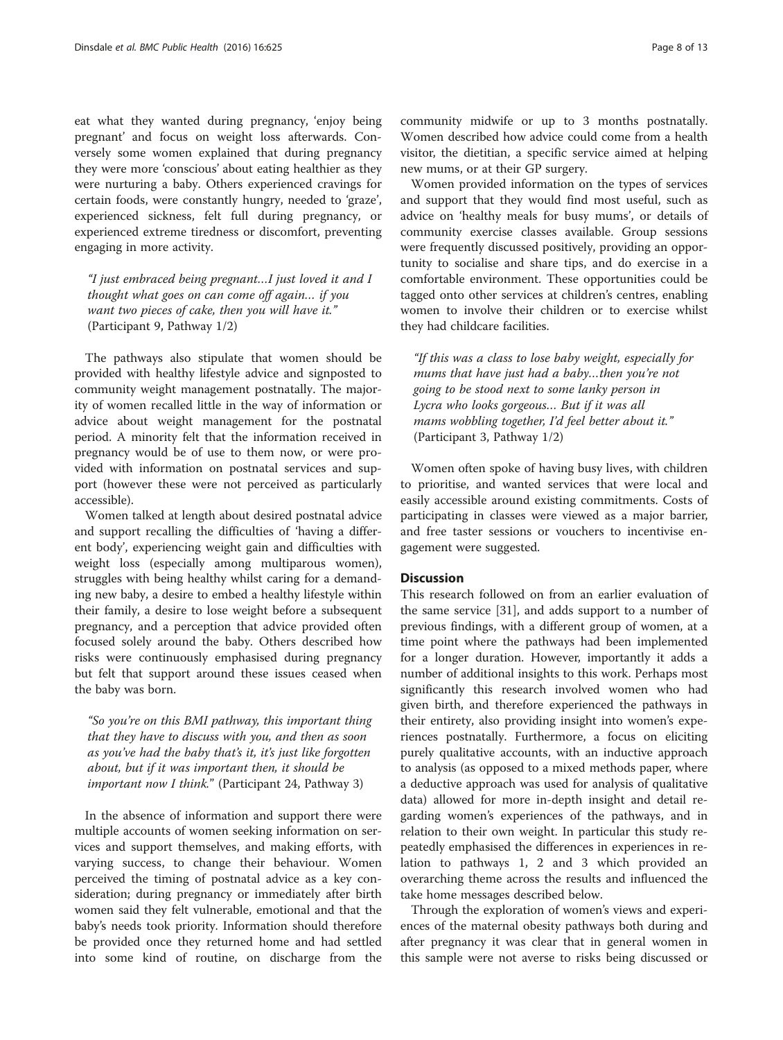eat what they wanted during pregnancy, 'enjoy being pregnant' and focus on weight loss afterwards. Conversely some women explained that during pregnancy they were more 'conscious' about eating healthier as they were nurturing a baby. Others experienced cravings for certain foods, were constantly hungry, needed to 'graze', experienced sickness, felt full during pregnancy, or experienced extreme tiredness or discomfort, preventing engaging in more activity.

"I just embraced being pregnant…I just loved it and I thought what goes on can come off again… if you want two pieces of cake, then you will have it." (Participant 9, Pathway 1/2)

The pathways also stipulate that women should be provided with healthy lifestyle advice and signposted to community weight management postnatally. The majority of women recalled little in the way of information or advice about weight management for the postnatal period. A minority felt that the information received in pregnancy would be of use to them now, or were provided with information on postnatal services and support (however these were not perceived as particularly accessible).

Women talked at length about desired postnatal advice and support recalling the difficulties of 'having a different body', experiencing weight gain and difficulties with weight loss (especially among multiparous women), struggles with being healthy whilst caring for a demanding new baby, a desire to embed a healthy lifestyle within their family, a desire to lose weight before a subsequent pregnancy, and a perception that advice provided often focused solely around the baby. Others described how risks were continuously emphasised during pregnancy but felt that support around these issues ceased when the baby was born.

"So you're on this BMI pathway, this important thing that they have to discuss with you, and then as soon as you've had the baby that's it, it's just like forgotten about, but if it was important then, it should be important now I think." (Participant 24, Pathway 3)

In the absence of information and support there were multiple accounts of women seeking information on services and support themselves, and making efforts, with varying success, to change their behaviour. Women perceived the timing of postnatal advice as a key consideration; during pregnancy or immediately after birth women said they felt vulnerable, emotional and that the baby's needs took priority. Information should therefore be provided once they returned home and had settled into some kind of routine, on discharge from the

community midwife or up to 3 months postnatally. Women described how advice could come from a health visitor, the dietitian, a specific service aimed at helping new mums, or at their GP surgery.

Women provided information on the types of services and support that they would find most useful, such as advice on 'healthy meals for busy mums', or details of community exercise classes available. Group sessions were frequently discussed positively, providing an opportunity to socialise and share tips, and do exercise in a comfortable environment. These opportunities could be tagged onto other services at children's centres, enabling women to involve their children or to exercise whilst they had childcare facilities.

"If this was a class to lose baby weight, especially for mums that have just had a baby…then you're not going to be stood next to some lanky person in Lycra who looks gorgeous… But if it was all mams wobbling together, I'd feel better about it." (Participant 3, Pathway 1/2)

Women often spoke of having busy lives, with children to prioritise, and wanted services that were local and easily accessible around existing commitments. Costs of participating in classes were viewed as a major barrier, and free taster sessions or vouchers to incentivise engagement were suggested.

### **Discussion**

This research followed on from an earlier evaluation of the same service [\[31](#page-11-0)], and adds support to a number of previous findings, with a different group of women, at a time point where the pathways had been implemented for a longer duration. However, importantly it adds a number of additional insights to this work. Perhaps most significantly this research involved women who had given birth, and therefore experienced the pathways in their entirety, also providing insight into women's experiences postnatally. Furthermore, a focus on eliciting purely qualitative accounts, with an inductive approach to analysis (as opposed to a mixed methods paper, where a deductive approach was used for analysis of qualitative data) allowed for more in-depth insight and detail regarding women's experiences of the pathways, and in relation to their own weight. In particular this study repeatedly emphasised the differences in experiences in relation to pathways 1, 2 and 3 which provided an overarching theme across the results and influenced the take home messages described below.

Through the exploration of women's views and experiences of the maternal obesity pathways both during and after pregnancy it was clear that in general women in this sample were not averse to risks being discussed or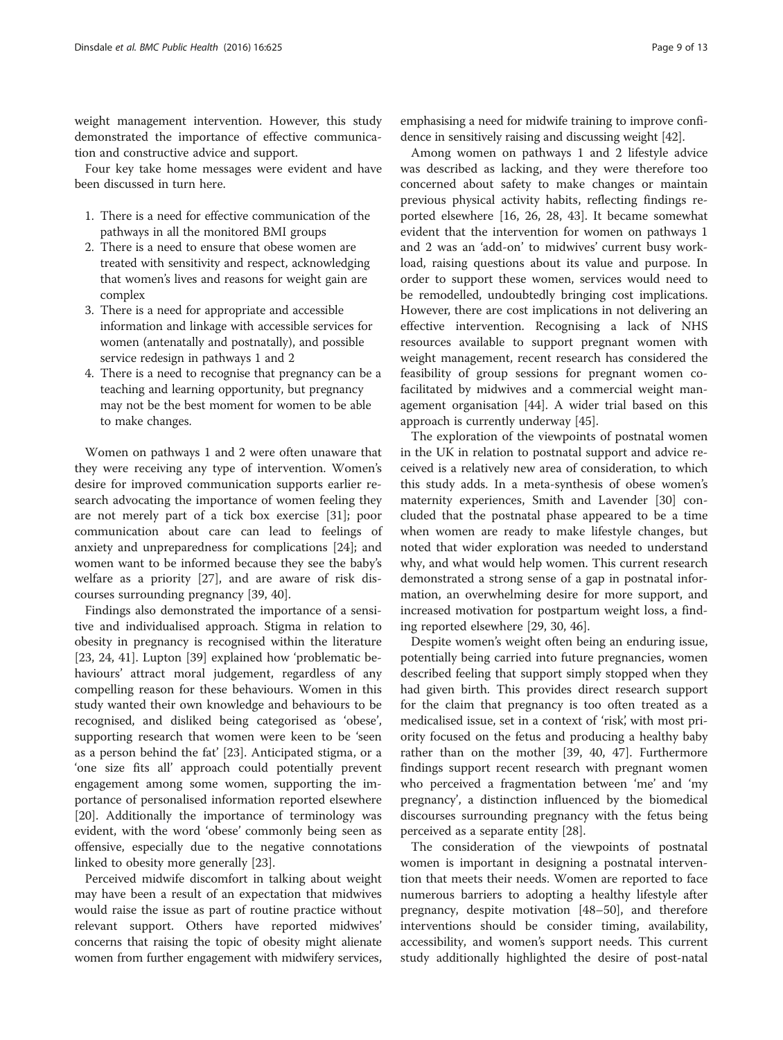weight management intervention. However, this study demonstrated the importance of effective communication and constructive advice and support.

Four key take home messages were evident and have been discussed in turn here.

- 1. There is a need for effective communication of the pathways in all the monitored BMI groups
- 2. There is a need to ensure that obese women are treated with sensitivity and respect, acknowledging that women's lives and reasons for weight gain are complex
- 3. There is a need for appropriate and accessible information and linkage with accessible services for women (antenatally and postnatally), and possible service redesign in pathways 1 and 2
- 4. There is a need to recognise that pregnancy can be a teaching and learning opportunity, but pregnancy may not be the best moment for women to be able to make changes.

Women on pathways 1 and 2 were often unaware that they were receiving any type of intervention. Women's desire for improved communication supports earlier research advocating the importance of women feeling they are not merely part of a tick box exercise [\[31\]](#page-11-0); poor communication about care can lead to feelings of anxiety and unpreparedness for complications [\[24](#page-11-0)]; and women want to be informed because they see the baby's welfare as a priority [[27](#page-11-0)], and are aware of risk discourses surrounding pregnancy [\[39](#page-11-0), [40](#page-11-0)].

Findings also demonstrated the importance of a sensitive and individualised approach. Stigma in relation to obesity in pregnancy is recognised within the literature [[23, 24, 41\]](#page-11-0). Lupton [[39](#page-11-0)] explained how 'problematic behaviours' attract moral judgement, regardless of any compelling reason for these behaviours. Women in this study wanted their own knowledge and behaviours to be recognised, and disliked being categorised as 'obese', supporting research that women were keen to be 'seen as a person behind the fat' [[23\]](#page-11-0). Anticipated stigma, or a 'one size fits all' approach could potentially prevent engagement among some women, supporting the importance of personalised information reported elsewhere [[20\]](#page-11-0). Additionally the importance of terminology was evident, with the word 'obese' commonly being seen as offensive, especially due to the negative connotations linked to obesity more generally [\[23](#page-11-0)].

Perceived midwife discomfort in talking about weight may have been a result of an expectation that midwives would raise the issue as part of routine practice without relevant support. Others have reported midwives' concerns that raising the topic of obesity might alienate women from further engagement with midwifery services, emphasising a need for midwife training to improve confidence in sensitively raising and discussing weight [\[42\]](#page-11-0).

Among women on pathways 1 and 2 lifestyle advice was described as lacking, and they were therefore too concerned about safety to make changes or maintain previous physical activity habits, reflecting findings reported elsewhere [\[16, 26](#page-11-0), [28](#page-11-0), [43\]](#page-11-0). It became somewhat evident that the intervention for women on pathways 1 and 2 was an 'add-on' to midwives' current busy workload, raising questions about its value and purpose. In order to support these women, services would need to be remodelled, undoubtedly bringing cost implications. However, there are cost implications in not delivering an effective intervention. Recognising a lack of NHS resources available to support pregnant women with weight management, recent research has considered the feasibility of group sessions for pregnant women cofacilitated by midwives and a commercial weight management organisation [[44\]](#page-11-0). A wider trial based on this approach is currently underway [\[45](#page-11-0)].

The exploration of the viewpoints of postnatal women in the UK in relation to postnatal support and advice received is a relatively new area of consideration, to which this study adds. In a meta-synthesis of obese women's maternity experiences, Smith and Lavender [[30](#page-11-0)] concluded that the postnatal phase appeared to be a time when women are ready to make lifestyle changes, but noted that wider exploration was needed to understand why, and what would help women. This current research demonstrated a strong sense of a gap in postnatal information, an overwhelming desire for more support, and increased motivation for postpartum weight loss, a finding reported elsewhere [\[29, 30, 46\]](#page-11-0).

Despite women's weight often being an enduring issue, potentially being carried into future pregnancies, women described feeling that support simply stopped when they had given birth. This provides direct research support for the claim that pregnancy is too often treated as a medicalised issue, set in a context of 'risk', with most priority focused on the fetus and producing a healthy baby rather than on the mother [\[39](#page-11-0), [40](#page-11-0), [47\]](#page-11-0). Furthermore findings support recent research with pregnant women who perceived a fragmentation between 'me' and 'my pregnancy', a distinction influenced by the biomedical discourses surrounding pregnancy with the fetus being perceived as a separate entity [[28\]](#page-11-0).

The consideration of the viewpoints of postnatal women is important in designing a postnatal intervention that meets their needs. Women are reported to face numerous barriers to adopting a healthy lifestyle after pregnancy, despite motivation [\[48](#page-11-0)–[50\]](#page-11-0), and therefore interventions should be consider timing, availability, accessibility, and women's support needs. This current study additionally highlighted the desire of post-natal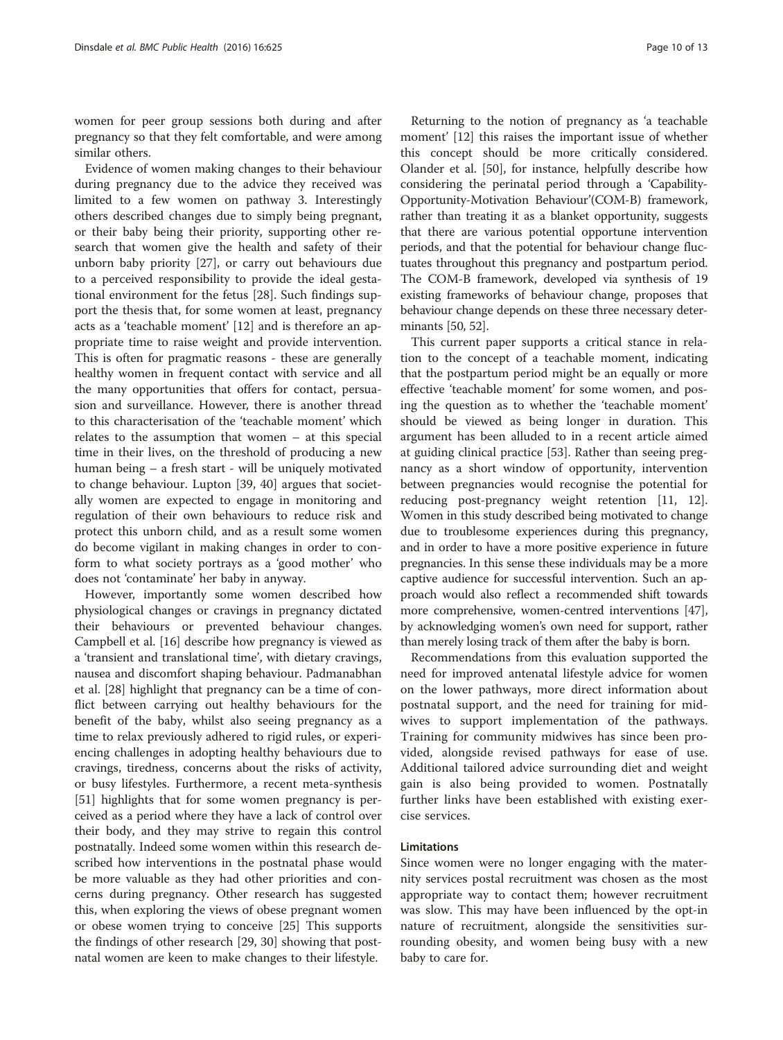women for peer group sessions both during and after pregnancy so that they felt comfortable, and were among similar others.

Evidence of women making changes to their behaviour during pregnancy due to the advice they received was limited to a few women on pathway 3. Interestingly others described changes due to simply being pregnant, or their baby being their priority, supporting other research that women give the health and safety of their unborn baby priority [\[27\]](#page-11-0), or carry out behaviours due to a perceived responsibility to provide the ideal gestational environment for the fetus [\[28](#page-11-0)]. Such findings support the thesis that, for some women at least, pregnancy acts as a 'teachable moment' [\[12](#page-11-0)] and is therefore an appropriate time to raise weight and provide intervention. This is often for pragmatic reasons - these are generally healthy women in frequent contact with service and all the many opportunities that offers for contact, persuasion and surveillance. However, there is another thread to this characterisation of the 'teachable moment' which relates to the assumption that women – at this special time in their lives, on the threshold of producing a new human being – a fresh start - will be uniquely motivated to change behaviour. Lupton [[39](#page-11-0), [40\]](#page-11-0) argues that societally women are expected to engage in monitoring and regulation of their own behaviours to reduce risk and protect this unborn child, and as a result some women do become vigilant in making changes in order to conform to what society portrays as a 'good mother' who does not 'contaminate' her baby in anyway.

However, importantly some women described how physiological changes or cravings in pregnancy dictated their behaviours or prevented behaviour changes. Campbell et al. [\[16](#page-11-0)] describe how pregnancy is viewed as a 'transient and translational time', with dietary cravings, nausea and discomfort shaping behaviour. Padmanabhan et al. [[28\]](#page-11-0) highlight that pregnancy can be a time of conflict between carrying out healthy behaviours for the benefit of the baby, whilst also seeing pregnancy as a time to relax previously adhered to rigid rules, or experiencing challenges in adopting healthy behaviours due to cravings, tiredness, concerns about the risks of activity, or busy lifestyles. Furthermore, a recent meta-synthesis [[51\]](#page-12-0) highlights that for some women pregnancy is perceived as a period where they have a lack of control over their body, and they may strive to regain this control postnatally. Indeed some women within this research described how interventions in the postnatal phase would be more valuable as they had other priorities and concerns during pregnancy. Other research has suggested this, when exploring the views of obese pregnant women or obese women trying to conceive [\[25](#page-11-0)] This supports the findings of other research [[29](#page-11-0), [30](#page-11-0)] showing that postnatal women are keen to make changes to their lifestyle.

Returning to the notion of pregnancy as 'a teachable moment' [[12\]](#page-11-0) this raises the important issue of whether this concept should be more critically considered. Olander et al. [[50\]](#page-11-0), for instance, helpfully describe how considering the perinatal period through a 'Capability-Opportunity-Motivation Behaviour'(COM-B) framework, rather than treating it as a blanket opportunity, suggests that there are various potential opportune intervention periods, and that the potential for behaviour change fluctuates throughout this pregnancy and postpartum period. The COM-B framework, developed via synthesis of 19 existing frameworks of behaviour change, proposes that behaviour change depends on these three necessary determinants [[50](#page-11-0), [52\]](#page-12-0).

This current paper supports a critical stance in relation to the concept of a teachable moment, indicating that the postpartum period might be an equally or more effective 'teachable moment' for some women, and posing the question as to whether the 'teachable moment' should be viewed as being longer in duration. This argument has been alluded to in a recent article aimed at guiding clinical practice [\[53\]](#page-12-0). Rather than seeing pregnancy as a short window of opportunity, intervention between pregnancies would recognise the potential for reducing post-pregnancy weight retention [\[11](#page-11-0), [12](#page-11-0)]. Women in this study described being motivated to change due to troublesome experiences during this pregnancy, and in order to have a more positive experience in future pregnancies. In this sense these individuals may be a more captive audience for successful intervention. Such an approach would also reflect a recommended shift towards more comprehensive, women-centred interventions [[47](#page-11-0)], by acknowledging women's own need for support, rather than merely losing track of them after the baby is born.

Recommendations from this evaluation supported the need for improved antenatal lifestyle advice for women on the lower pathways, more direct information about postnatal support, and the need for training for midwives to support implementation of the pathways. Training for community midwives has since been provided, alongside revised pathways for ease of use. Additional tailored advice surrounding diet and weight gain is also being provided to women. Postnatally further links have been established with existing exercise services.

## Limitations

Since women were no longer engaging with the maternity services postal recruitment was chosen as the most appropriate way to contact them; however recruitment was slow. This may have been influenced by the opt-in nature of recruitment, alongside the sensitivities surrounding obesity, and women being busy with a new baby to care for.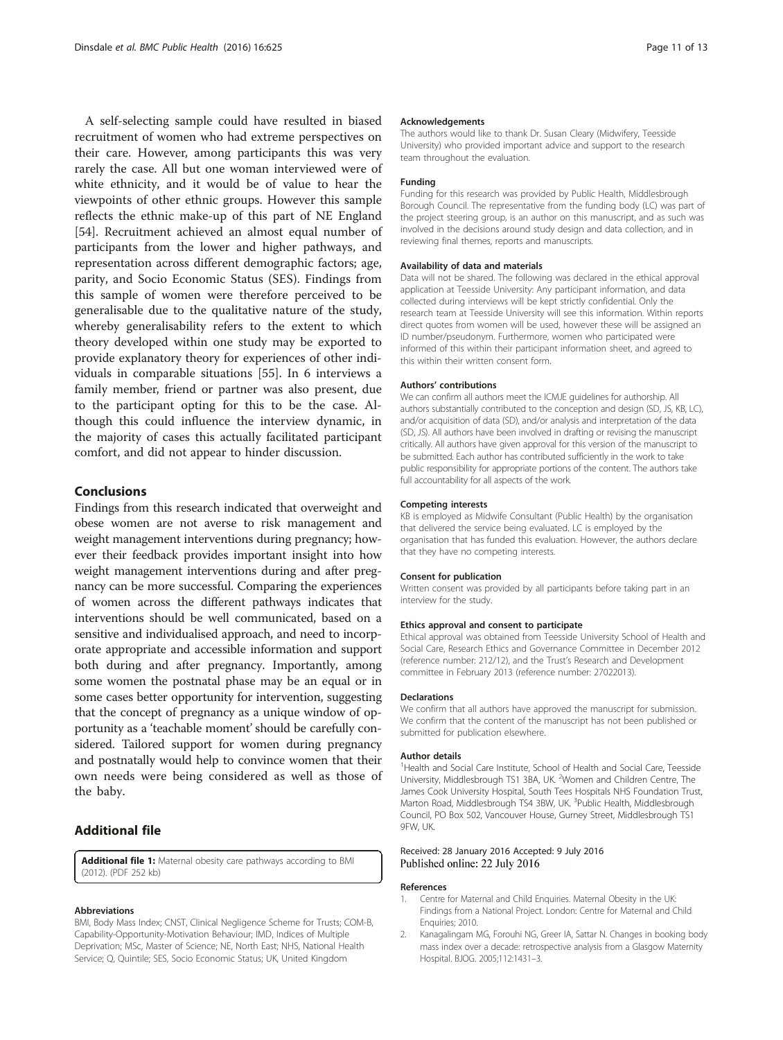<span id="page-10-0"></span>A self-selecting sample could have resulted in biased recruitment of women who had extreme perspectives on their care. However, among participants this was very rarely the case. All but one woman interviewed were of white ethnicity, and it would be of value to hear the viewpoints of other ethnic groups. However this sample reflects the ethnic make-up of this part of NE England [[54\]](#page-12-0). Recruitment achieved an almost equal number of participants from the lower and higher pathways, and representation across different demographic factors; age, parity, and Socio Economic Status (SES). Findings from this sample of women were therefore perceived to be generalisable due to the qualitative nature of the study, whereby generalisability refers to the extent to which theory developed within one study may be exported to provide explanatory theory for experiences of other individuals in comparable situations [\[55](#page-12-0)]. In 6 interviews a family member, friend or partner was also present, due to the participant opting for this to be the case. Although this could influence the interview dynamic, in the majority of cases this actually facilitated participant comfort, and did not appear to hinder discussion.

### Conclusions

Findings from this research indicated that overweight and obese women are not averse to risk management and weight management interventions during pregnancy; however their feedback provides important insight into how weight management interventions during and after pregnancy can be more successful. Comparing the experiences of women across the different pathways indicates that interventions should be well communicated, based on a sensitive and individualised approach, and need to incorporate appropriate and accessible information and support both during and after pregnancy. Importantly, among some women the postnatal phase may be an equal or in some cases better opportunity for intervention, suggesting that the concept of pregnancy as a unique window of opportunity as a 'teachable moment' should be carefully considered. Tailored support for women during pregnancy and postnatally would help to convince women that their own needs were being considered as well as those of the baby.

# Additional file

[Additional file 1:](dx.doi.org/10.1186/s12889-016-3289-1) Maternal obesity care pathways according to BMI (2012). (PDF 252 kb)

#### Abbreviations

BMI, Body Mass Index; CNST, Clinical Negligence Scheme for Trusts; COM-B, Capability-Opportunity-Motivation Behaviour; IMD, Indices of Multiple Deprivation; MSc, Master of Science; NE, North East; NHS, National Health Service; Q, Quintile; SES, Socio Economic Status; UK, United Kingdom

#### Acknowledgements

The authors would like to thank Dr. Susan Cleary (Midwifery, Teesside University) who provided important advice and support to the research team throughout the evaluation.

#### Funding

Funding for this research was provided by Public Health, Middlesbrough Borough Council. The representative from the funding body (LC) was part of the project steering group, is an author on this manuscript, and as such was involved in the decisions around study design and data collection, and in reviewing final themes, reports and manuscripts.

#### Availability of data and materials

Data will not be shared. The following was declared in the ethical approval application at Teesside University: Any participant information, and data collected during interviews will be kept strictly confidential. Only the research team at Teesside University will see this information. Within reports direct quotes from women will be used, however these will be assigned an ID number/pseudonym. Furthermore, women who participated were informed of this within their participant information sheet, and agreed to this within their written consent form.

### Authors' contributions

We can confirm all authors meet the ICMJE guidelines for authorship. All authors substantially contributed to the conception and design (SD, JS, KB, LC), and/or acquisition of data (SD), and/or analysis and interpretation of the data (SD, JS). All authors have been involved in drafting or revising the manuscript critically. All authors have given approval for this version of the manuscript to be submitted. Each author has contributed sufficiently in the work to take public responsibility for appropriate portions of the content. The authors take full accountability for all aspects of the work.

#### Competing interests

KB is employed as Midwife Consultant (Public Health) by the organisation that delivered the service being evaluated. LC is employed by the organisation that has funded this evaluation. However, the authors declare that they have no competing interests.

#### Consent for publication

Written consent was provided by all participants before taking part in an interview for the study.

### Ethics approval and consent to participate

Ethical approval was obtained from Teesside University School of Health and Social Care, Research Ethics and Governance Committee in December 2012 (reference number: 212/12), and the Trust's Research and Development committee in February 2013 (reference number: 27022013).

### Declarations

We confirm that all authors have approved the manuscript for submission. We confirm that the content of the manuscript has not been published or submitted for publication elsewhere.

#### Author details

<sup>1</sup>Health and Social Care Institute, School of Health and Social Care, Teesside University, Middlesbrough TS1 3BA, UK. <sup>2</sup>Women and Children Centre, The James Cook University Hospital, South Tees Hospitals NHS Foundation Trust, Marton Road, Middlesbrough TS4 3BW, UK. <sup>3</sup>Public Health, Middlesbrough Council, PO Box 502, Vancouver House, Gurney Street, Middlesbrough TS1 9FW, UK.

### Received: 28 January 2016 Accepted: 9 July 2016 Published online: 22 July 2016

### References

- 1. Centre for Maternal and Child Enquiries. Maternal Obesity in the UK: Findings from a National Project. London: Centre for Maternal and Child Enquiries; 2010.
- Kanagalingam MG, Forouhi NG, Greer IA, Sattar N. Changes in booking body mass index over a decade: retrospective analysis from a Glasgow Maternity Hospital. BJOG. 2005;112:1431–3.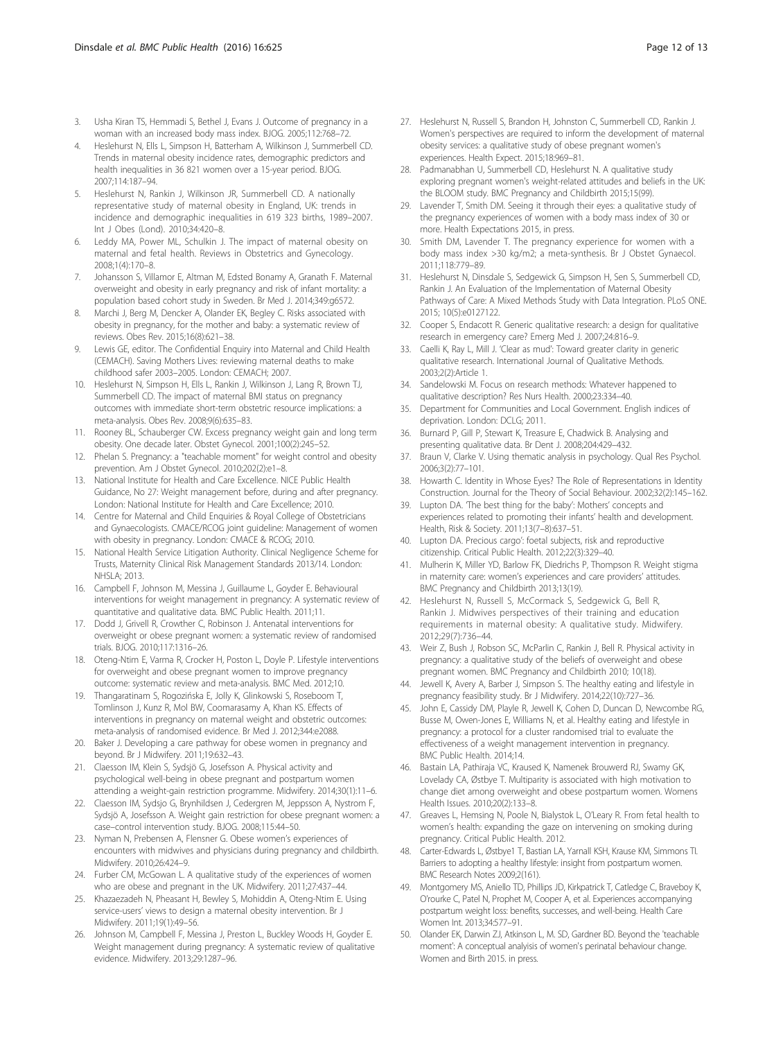- <span id="page-11-0"></span>3. Usha Kiran TS, Hemmadi S, Bethel J, Evans J. Outcome of pregnancy in a woman with an increased body mass index. BJOG. 2005;112:768–72.
- 4. Heslehurst N, Ells L, Simpson H, Batterham A, Wilkinson J, Summerbell CD. Trends in maternal obesity incidence rates, demographic predictors and health inequalities in 36 821 women over a 15-year period. BJOG. 2007;114:187–94.
- 5. Heslehurst N, Rankin J, Wilkinson JR, Summerbell CD. A nationally representative study of maternal obesity in England, UK: trends in incidence and demographic inequalities in 619 323 births, 1989–2007. Int J Obes (Lond). 2010;34:420–8.
- 6. Leddy MA, Power ML, Schulkin J. The impact of maternal obesity on maternal and fetal health. Reviews in Obstetrics and Gynecology. 2008;1(4):170–8.
- 7. Johansson S, Villamor E, Altman M, Edsted Bonamy A, Granath F. Maternal overweight and obesity in early pregnancy and risk of infant mortality: a population based cohort study in Sweden. Br Med J. 2014;349:g6572.
- 8. Marchi J, Berg M, Dencker A, Olander EK, Begley C. Risks associated with obesity in pregnancy, for the mother and baby: a systematic review of reviews. Obes Rev. 2015;16(8):621–38.
- 9. Lewis GE, editor. The Confidential Enquiry into Maternal and Child Health (CEMACH). Saving Mothers Lives: reviewing maternal deaths to make childhood safer 2003–2005. London: CEMACH; 2007.
- 10. Heslehurst N, Simpson H, Ells L, Rankin J, Wilkinson J, Lang R, Brown TJ, Summerbell CD. The impact of maternal BMI status on pregnancy outcomes with immediate short-term obstetric resource implications: a meta-analysis. Obes Rev. 2008;9(6):635–83.
- 11. Rooney BL, Schauberger CW. Excess pregnancy weight gain and long term obesity. One decade later. Obstet Gynecol. 2001;100(2):245–52.
- 12. Phelan S. Pregnancy: a "teachable moment" for weight control and obesity prevention. Am J Obstet Gynecol. 2010;202(2):e1–8.
- 13. National Institute for Health and Care Excellence. NICE Public Health Guidance, No 27: Weight management before, during and after pregnancy. London: National Institute for Health and Care Excellence; 2010.
- 14. Centre for Maternal and Child Enquiries & Royal College of Obstetricians and Gynaecologists. CMACE/RCOG joint guideline: Management of women with obesity in pregnancy. London: CMACE & RCOG; 2010.
- 15. National Health Service Litigation Authority. Clinical Negligence Scheme for Trusts, Maternity Clinical Risk Management Standards 2013/14. London: NHSLA; 2013.
- 16. Campbell F, Johnson M, Messina J, Guillaume L, Goyder E. Behavioural interventions for weight management in pregnancy: A systematic review of quantitative and qualitative data. BMC Public Health. 2011;11.
- 17. Dodd J, Grivell R, Crowther C, Robinson J. Antenatal interventions for overweight or obese pregnant women: a systematic review of randomised trials. BJOG. 2010;117:1316–26.
- 18. Oteng-Ntim E, Varma R, Crocker H, Poston L, Doyle P. Lifestyle interventions for overweight and obese pregnant women to improve pregnancy outcome: systematic review and meta-analysis. BMC Med. 2012;10.
- 19. Thangaratinam S, Rogozińska E, Jolly K, Glinkowski S, Roseboom T, Tomlinson J, Kunz R, Mol BW, Coomarasamy A, Khan KS. Effects of interventions in pregnancy on maternal weight and obstetric outcomes: meta-analysis of randomised evidence. Br Med J. 2012;344:e2088.
- 20. Baker J. Developing a care pathway for obese women in pregnancy and beyond. Br J Midwifery. 2011;19:632–43.
- 21. Claesson IM, Klein S, Sydsjö G, Josefsson A. Physical activity and psychological well-being in obese pregnant and postpartum women attending a weight-gain restriction programme. Midwifery. 2014;30(1):11–6.
- 22. Claesson IM, Sydsjo G, Brynhildsen J, Cedergren M, Jeppsson A, Nystrom F, Sydsjö A, Josefsson A. Weight gain restriction for obese pregnant women: a case–control intervention study. BJOG. 2008;115:44–50.
- 23. Nyman N, Prebensen A, Flensner G. Obese women's experiences of encounters with midwives and physicians during pregnancy and childbirth. Midwifery. 2010;26:424–9.
- 24. Furber CM, McGowan L. A qualitative study of the experiences of women who are obese and pregnant in the UK. Midwifery. 2011;27:437–44.
- 25. Khazaezadeh N, Pheasant H, Bewley S, Mohiddin A, Oteng-Ntim E. Using service-users' views to design a maternal obesity intervention. Br J Midwifery. 2011;19(1):49–56.
- 26. Johnson M, Campbell F, Messina J, Preston L, Buckley Woods H, Goyder E. Weight management during pregnancy: A systematic review of qualitative evidence. Midwifery. 2013;29:1287–96.
- 27. Heslehurst N, Russell S, Brandon H, Johnston C, Summerbell CD, Rankin J. Women's perspectives are required to inform the development of maternal obesity services: a qualitative study of obese pregnant women's experiences. Health Expect. 2015;18:969–81.
- 28. Padmanabhan U, Summerbell CD, Heslehurst N. A qualitative study exploring pregnant women's weight-related attitudes and beliefs in the UK: the BLOOM study. BMC Pregnancy and Childbirth 2015;15(99).
- 29. Lavender T, Smith DM. Seeing it through their eyes: a qualitative study of the pregnancy experiences of women with a body mass index of 30 or more. Health Expectations 2015, in press.
- 30. Smith DM, Lavender T. The pregnancy experience for women with a body mass index >30 kg/m2; a meta-synthesis. Br J Obstet Gynaecol. 2011;118:779–89.
- 31. Heslehurst N, Dinsdale S, Sedgewick G, Simpson H, Sen S, Summerbell CD, Rankin J. An Evaluation of the Implementation of Maternal Obesity Pathways of Care: A Mixed Methods Study with Data Integration. PLoS ONE. 2015; 10(5):e0127122.
- 32. Cooper S, Endacott R. Generic qualitative research: a design for qualitative research in emergency care? Emerg Med J. 2007;24:816–9.
- 33. Caelli K, Ray L, Mill J. 'Clear as mud': Toward greater clarity in generic qualitative research. International Journal of Qualitative Methods. 2003;2(2):Article 1.
- 34. Sandelowski M. Focus on research methods: Whatever happened to qualitative description? Res Nurs Health. 2000;23:334–40.
- 35. Department for Communities and Local Government. English indices of deprivation. London: DCLG; 2011.
- 36. Burnard P, Gill P, Stewart K, Treasure E, Chadwick B. Analysing and presenting qualitative data. Br Dent J. 2008;204:429–432.
- 37. Braun V, Clarke V. Using thematic analysis in psychology. Qual Res Psychol. 2006;3(2):77–101.
- 38. Howarth C. Identity in Whose Eyes? The Role of Representations in Identity Construction. Journal for the Theory of Social Behaviour. 2002;32(2):145–162.
- 39. Lupton DA. The best thing for the baby': Mothers' concepts and experiences related to promoting their infants' health and development. Health, Risk & Society. 2011;13(7–8):637–51.
- 40. Lupton DA. Precious cargo': foetal subjects, risk and reproductive citizenship. Critical Public Health. 2012;22(3):329–40.
- 41. Mulherin K, Miller YD, Barlow FK, Diedrichs P, Thompson R. Weight stigma in maternity care: women's experiences and care providers' attitudes. BMC Pregnancy and Childbirth 2013;13(19).
- 42. Heslehurst N, Russell S, McCormack S, Sedgewick G, Bell R, Rankin J. Midwives perspectives of their training and education requirements in maternal obesity: A qualitative study. Midwifery. 2012;29(7):736–44.
- 43. Weir Z, Bush J, Robson SC, McParlin C, Rankin J, Bell R. Physical activity in pregnancy: a qualitative study of the beliefs of overweight and obese pregnant women. BMC Pregnancy and Childbirth 2010; 10(18).
- 44. Jewell K, Avery A, Barber J, Simpson S. The healthy eating and lifestyle in pregnancy feasibility study. Br J Midwifery. 2014;22(10):727–36.
- 45. John E, Cassidy DM, Playle R, Jewell K, Cohen D, Duncan D, Newcombe RG, Busse M, Owen-Jones E, Williams N, et al. Healthy eating and lifestyle in pregnancy: a protocol for a cluster randomised trial to evaluate the effectiveness of a weight management intervention in pregnancy. BMC Public Health. 2014;14.
- 46. Bastain LA, Pathiraja VC, Kraused K, Namenek Brouwerd RJ, Swamy GK, Lovelady CA, Østbye T. Multiparity is associated with high motivation to change diet among overweight and obese postpartum women. Womens Health Issues. 2010;20(2):133–8.
- 47. Greaves L, Hemsing N, Poole N, Bialystok L, O'Leary R. From fetal health to women's health: expanding the gaze on intervening on smoking during pregnancy. Critical Public Health. 2012.
- 48. Carter-Edwards L, Østbye1 T, Bastian LA, Yarnall KSH, Krause KM, Simmons TI. Barriers to adopting a healthy lifestyle: insight from postpartum women. BMC Research Notes 2009;2(161).
- 49. Montgomery MS, Aniello TD, Phillips JD, Kirkpatrick T, Catledge C, Braveboy K, O'rourke C, Patel N, Prophet M, Cooper A, et al. Experiences accompanying postpartum weight loss: benefits, successes, and well-being. Health Care Women Int. 2013;34:577–91.
- 50. Olander EK, Darwin ZJ, Atkinson L, M. SD, Gardner BD. Beyond the 'teachable moment': A conceptual analyisis of women's perinatal behaviour change. Women and Birth 2015. in press.